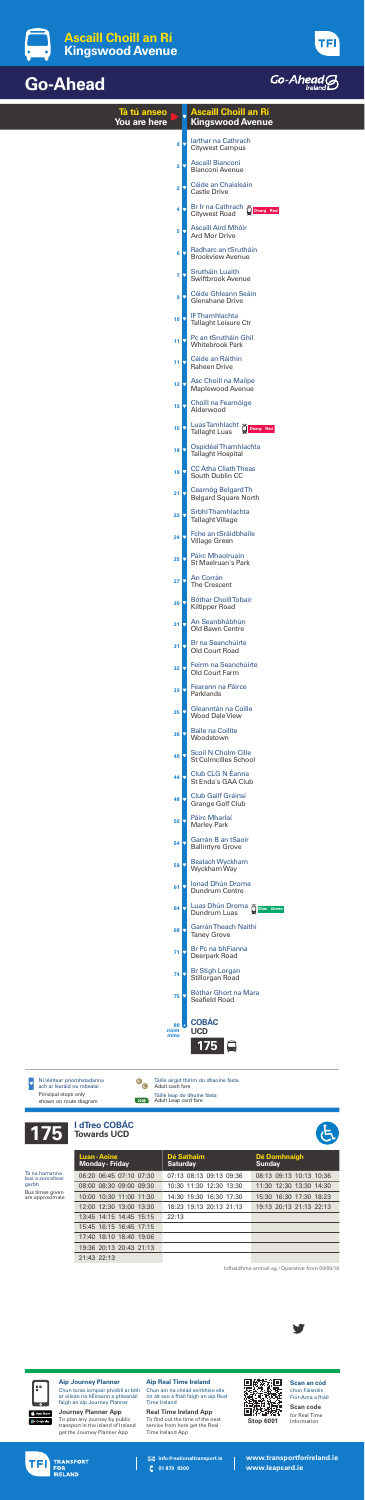

|                                                                                  |                                                                                                                                                                                                                                                                           | Tá tú anseo<br>You are here                          |                                                                                                         | <b>Ascaill Choill an Rí</b><br><b>Kingswood Avenue</b>                                                                                        |                  |                                             |                                                                                                      |  |
|----------------------------------------------------------------------------------|---------------------------------------------------------------------------------------------------------------------------------------------------------------------------------------------------------------------------------------------------------------------------|------------------------------------------------------|---------------------------------------------------------------------------------------------------------|-----------------------------------------------------------------------------------------------------------------------------------------------|------------------|---------------------------------------------|------------------------------------------------------------------------------------------------------|--|
|                                                                                  |                                                                                                                                                                                                                                                                           |                                                      | $\mathbf{0}$                                                                                            | larthar na Cathrach<br><b>Citywest Campus</b>                                                                                                 |                  |                                             |                                                                                                      |  |
|                                                                                  |                                                                                                                                                                                                                                                                           |                                                      | $\overline{2}$                                                                                          | <b>Ascaill Bianconi</b><br><b>Bianconi Avenue</b>                                                                                             |                  |                                             |                                                                                                      |  |
|                                                                                  |                                                                                                                                                                                                                                                                           |                                                      | $\overline{\mathbf{2}}$                                                                                 | Céide an Chaisleáin<br><b>Castle Drive</b>                                                                                                    |                  |                                             |                                                                                                      |  |
|                                                                                  |                                                                                                                                                                                                                                                                           |                                                      | $\overline{\mathbf{4}}$                                                                                 | Br Ir na Cathrach<br><b>Citywest Road</b>                                                                                                     |                  | Õ<br>Dearg Red                              |                                                                                                      |  |
|                                                                                  |                                                                                                                                                                                                                                                                           |                                                      | 5                                                                                                       | <b>Ascaill Aird Mhóir</b><br><b>Ard Mor Drive</b>                                                                                             |                  |                                             |                                                                                                      |  |
|                                                                                  |                                                                                                                                                                                                                                                                           |                                                      | 6                                                                                                       | Radharc an tSrutháin<br><b>Brookview Avenue</b>                                                                                               |                  |                                             |                                                                                                      |  |
|                                                                                  |                                                                                                                                                                                                                                                                           |                                                      | $\overline{7}$                                                                                          | Srutháin Luaith<br><b>Swiftbrook Avenue</b>                                                                                                   |                  |                                             |                                                                                                      |  |
|                                                                                  |                                                                                                                                                                                                                                                                           |                                                      | 9                                                                                                       | <b>Céide Ghleann Seáin</b><br><b>Glenshane Drive</b>                                                                                          |                  |                                             |                                                                                                      |  |
|                                                                                  |                                                                                                                                                                                                                                                                           |                                                      | 10 <sub>1</sub>                                                                                         | <b>IFThamhlachta</b><br><b>Tallaght Leisure Ctr</b>                                                                                           |                  |                                             |                                                                                                      |  |
|                                                                                  |                                                                                                                                                                                                                                                                           |                                                      | 11                                                                                                      | Pc an tSrutháin Ghil<br><b>Whitebrook Park</b>                                                                                                |                  |                                             |                                                                                                      |  |
|                                                                                  |                                                                                                                                                                                                                                                                           |                                                      | 11                                                                                                      | Céide an Ráithín<br><b>Raheen Drive</b>                                                                                                       |                  |                                             |                                                                                                      |  |
|                                                                                  |                                                                                                                                                                                                                                                                           |                                                      | 12                                                                                                      | <b>Asc Choill na Mailpe</b><br><b>Maplewood Avenue</b>                                                                                        |                  |                                             |                                                                                                      |  |
|                                                                                  |                                                                                                                                                                                                                                                                           |                                                      | 13                                                                                                      | Choill na Fearnóige<br>Alderwood                                                                                                              |                  |                                             |                                                                                                      |  |
|                                                                                  |                                                                                                                                                                                                                                                                           |                                                      | 15                                                                                                      | Luas Tamhlacht<br><b>Tallaght Luas</b><br>Ospidéal Thamhlachta                                                                                |                  | Dearg Red                                   |                                                                                                      |  |
|                                                                                  |                                                                                                                                                                                                                                                                           |                                                      | 18                                                                                                      | <b>Tallaght Hospital</b><br><b>CC</b> Átha Cliath Theas                                                                                       |                  |                                             |                                                                                                      |  |
|                                                                                  |                                                                                                                                                                                                                                                                           |                                                      | 19                                                                                                      | South Dublin CC<br><b>Cearnóg Belgard Th</b>                                                                                                  |                  |                                             |                                                                                                      |  |
|                                                                                  |                                                                                                                                                                                                                                                                           |                                                      | 21                                                                                                      | <b>Belgard Square North</b><br><b>SrbhlThamhlachta</b>                                                                                        |                  |                                             |                                                                                                      |  |
|                                                                                  |                                                                                                                                                                                                                                                                           |                                                      | 23                                                                                                      | <b>Tallaght Village</b><br>Fche an tSráidbhaile                                                                                               |                  |                                             |                                                                                                      |  |
|                                                                                  |                                                                                                                                                                                                                                                                           |                                                      | 24                                                                                                      | <b>Village Green</b><br>Páirc Mhaolruain                                                                                                      |                  |                                             |                                                                                                      |  |
|                                                                                  |                                                                                                                                                                                                                                                                           |                                                      | 25                                                                                                      | <b>St Maelruan's Park</b><br>An Corrán                                                                                                        |                  |                                             |                                                                                                      |  |
|                                                                                  |                                                                                                                                                                                                                                                                           |                                                      | 27                                                                                                      | <b>The Crescent</b><br><b>Bóthar ChoillTobair</b>                                                                                             |                  |                                             |                                                                                                      |  |
|                                                                                  |                                                                                                                                                                                                                                                                           |                                                      | 30                                                                                                      | <b>Kiltipper Road</b><br>An Seanbhábhún                                                                                                       |                  |                                             |                                                                                                      |  |
|                                                                                  |                                                                                                                                                                                                                                                                           |                                                      | 31                                                                                                      | <b>Old Bawn Centre</b><br>Br na Seanchúirte                                                                                                   |                  |                                             |                                                                                                      |  |
|                                                                                  |                                                                                                                                                                                                                                                                           |                                                      | 31<br>32                                                                                                | <b>Old Court Road</b><br>Feirm na Seanchúirte                                                                                                 |                  |                                             |                                                                                                      |  |
|                                                                                  |                                                                                                                                                                                                                                                                           |                                                      | 33                                                                                                      | <b>Old Court Farm</b><br>Fearann na Páirce                                                                                                    |                  |                                             |                                                                                                      |  |
|                                                                                  |                                                                                                                                                                                                                                                                           |                                                      | 35                                                                                                      | Parklands<br>Gleanntán na Coille                                                                                                              |                  |                                             |                                                                                                      |  |
|                                                                                  |                                                                                                                                                                                                                                                                           |                                                      | 36                                                                                                      | <b>Wood Dale View</b><br><b>Baile na Coillte</b>                                                                                              |                  |                                             |                                                                                                      |  |
|                                                                                  |                                                                                                                                                                                                                                                                           |                                                      | 40                                                                                                      | Woodstown<br><b>Scoil N Cholm Cille</b>                                                                                                       |                  |                                             |                                                                                                      |  |
|                                                                                  |                                                                                                                                                                                                                                                                           |                                                      | 44                                                                                                      | <b>St Colmcilles School</b><br>Club CLG N Éanna                                                                                               |                  |                                             |                                                                                                      |  |
|                                                                                  |                                                                                                                                                                                                                                                                           |                                                      | 48                                                                                                      | <b>St Enda's GAA Club</b><br><b>Club Gailf Gráinsí</b>                                                                                        |                  |                                             |                                                                                                      |  |
|                                                                                  |                                                                                                                                                                                                                                                                           |                                                      | 50                                                                                                      | <b>Grange Golf Club</b><br>Páirc Mharlaí                                                                                                      |                  |                                             |                                                                                                      |  |
|                                                                                  |                                                                                                                                                                                                                                                                           |                                                      | 54                                                                                                      | <b>Marley Park</b><br>Garrán B an tSaoir                                                                                                      |                  |                                             |                                                                                                      |  |
|                                                                                  |                                                                                                                                                                                                                                                                           |                                                      | 59                                                                                                      | <b>Ballintyre Grove</b><br><b>Bealach Wyckham</b>                                                                                             |                  |                                             |                                                                                                      |  |
|                                                                                  |                                                                                                                                                                                                                                                                           |                                                      | 61                                                                                                      | Wyckham Way<br><b>Ionad Dhún Droma</b>                                                                                                        |                  |                                             |                                                                                                      |  |
|                                                                                  |                                                                                                                                                                                                                                                                           |                                                      | 64                                                                                                      | Dundrum Centre<br>Luas Dhún Droma                                                                                                             |                  | <b>Colas Green</b>                          |                                                                                                      |  |
|                                                                                  |                                                                                                                                                                                                                                                                           |                                                      | 68                                                                                                      | Dundrum Luas<br><b>Garrán Theach Naithí</b>                                                                                                   |                  |                                             |                                                                                                      |  |
|                                                                                  |                                                                                                                                                                                                                                                                           |                                                      | 71                                                                                                      | <b>Taney Grove</b><br>Br Pc na bhFianna                                                                                                       |                  |                                             |                                                                                                      |  |
|                                                                                  |                                                                                                                                                                                                                                                                           |                                                      | 74                                                                                                      | Deerpark Road<br><b>Br Stigh Lorgan</b>                                                                                                       |                  |                                             |                                                                                                      |  |
|                                                                                  |                                                                                                                                                                                                                                                                           |                                                      | 75                                                                                                      | <b>Stillorgan Road</b><br><b>Bóthar Ghort na Mara</b><br><b>Seafield Road</b>                                                                 |                  |                                             |                                                                                                      |  |
|                                                                                  |                                                                                                                                                                                                                                                                           |                                                      |                                                                                                         | <b>COBÁC</b>                                                                                                                                  |                  |                                             |                                                                                                      |  |
|                                                                                  |                                                                                                                                                                                                                                                                           |                                                      | 80 <b>O</b><br>nóim<br>mins                                                                             | <b>UCD</b><br>175                                                                                                                             |                  |                                             |                                                                                                      |  |
|                                                                                  |                                                                                                                                                                                                                                                                           |                                                      |                                                                                                         |                                                                                                                                               |                  |                                             |                                                                                                      |  |
| Ní léirítear príomhstadanna<br>ach ar léaráid na mbealaí<br>Principal stops only |                                                                                                                                                                                                                                                                           | $\bigodot$<br>$\bigodot$                             | Adult cash fare                                                                                         | Táille airgid thirim do dhaoine fásta                                                                                                         |                  |                                             |                                                                                                      |  |
| shown on route diagram                                                           |                                                                                                                                                                                                                                                                           | leap                                                 | Adult Leap card fare                                                                                    | Táille leap do dhuine fásta                                                                                                                   |                  |                                             |                                                                                                      |  |
|                                                                                  | I dTreo COBÁC<br><b>Towards UCD</b>                                                                                                                                                                                                                                       |                                                      |                                                                                                         |                                                                                                                                               |                  |                                             |                                                                                                      |  |
|                                                                                  | <b>Luan-Aoine</b><br><b>Monday - Friday</b>                                                                                                                                                                                                                               |                                                      | <b>Saturday</b>                                                                                         | Dé Sathairn                                                                                                                                   |                  | Dé Domhnaigh<br><b>Sunday</b>               |                                                                                                      |  |
| Tá na hamanna<br>bus a sonraítear<br>garbh                                       | 06:20 06:45 07:10 07:30<br>08:00 08:30 09:00 09:30                                                                                                                                                                                                                        |                                                      |                                                                                                         | 07:13 08:13 09:13 09:36<br>10:30 11:30 12:30 13:30                                                                                            |                  | 08:13 09:13 10:13 10:36                     | 11:30 12:30 13:30 14:30                                                                              |  |
| Bus times given<br>are approximate                                               | 10:00 10:30 11:00 11:30<br>12:00 12:30 13:00 13:30                                                                                                                                                                                                                        |                                                      |                                                                                                         | 14:30 15:30 16:30 17:30<br>18:23 19:13 20:13 21:13                                                                                            |                  |                                             | 15:30 16:30 17:30 18:23<br>19:13 20:13 21:13 22:13                                                   |  |
|                                                                                  | 13:45 14:15 14:45 15:15<br>15:45 16:15 16:45 17:15                                                                                                                                                                                                                        |                                                      | 22:13                                                                                                   |                                                                                                                                               |                  |                                             |                                                                                                      |  |
|                                                                                  | 17:40 18:10 18:40 19:06<br>19:36 20:13 20:43 21:13                                                                                                                                                                                                                        |                                                      |                                                                                                         |                                                                                                                                               |                  |                                             |                                                                                                      |  |
|                                                                                  | 21:43 22:13                                                                                                                                                                                                                                                               |                                                      |                                                                                                         |                                                                                                                                               |                  | Infheidhme amhail ag / Operative from 09/09 |                                                                                                      |  |
| Go-Ahead G                                                                       |                                                                                                                                                                                                                                                                           | Le haghaidh tuairimí agus ceisteanna faoin tseirbhís |                                                                                                         |                                                                                                                                               |                  |                                             |                                                                                                      |  |
|                                                                                  | <b>Ireland</b>                                                                                                                                                                                                                                                            | For service comments and queries                     |                                                                                                         |                                                                                                                                               |                  |                                             |                                                                                                      |  |
| Go-Ahead Ireland<br><b>Ballymount Road Lower</b><br>Dublin 12<br>D12 X201        |                                                                                                                                                                                                                                                                           | customercomment<br>@goaheadireland.ie                | 1850 80 40 71                                                                                           |                                                                                                                                               | goaheadireland12 | www.facebook.com/                           | @goaheadirelan                                                                                       |  |
| 8 E<br>t App Store<br>Coogle play                                                | <b>Aip Journey Planner</b><br>Chun turas iompair phoiblí ar bith<br>ar oileán na hÉireann a phleanáil<br>faigh an aip Journey Planner<br><b>Journey Planner App</b><br>To plan any journey by public<br>transport in the island of Ireland<br>get the Journey Planner App |                                                      | <b>Aip Real Time Ireland</b><br><b>Time Ireland</b><br><b>Real Time Ireland App</b><br>Time Ireland App | Chun am na chéad seirbhíse eile<br>ón áit seo a fháil faigh an aip Real<br>To find out the time of the next<br>service from here get the Real |                  | <b>Stop 6001</b>                            | Scan an cód<br>chun Faisnéis<br>Fíor-Ama a fháil<br><b>Scan code</b><br>for Real Time<br>Information |  |
| <b>TRANSPORT</b><br>TFI<br><b>FOR</b>                                            |                                                                                                                                                                                                                                                                           | ⊠<br>C                                               | 01 879 8300                                                                                             | info@nationaltransport.ie                                                                                                                     |                  | www.transportforireland.<br>www.leapcard.ie |                                                                                                      |  |



# **Go-Ahead**





 $\mathbf c$ **01 879 8300** **www.transportforireland.ie** www.leapcard.ie





| <b>Luan-Aoine</b><br><b>Monday - Friday</b> | <b>Dé Sathairn</b><br><b>Saturday</b> | Dé Domhnaigh<br><b>Sunday</b> |
|---------------------------------------------|---------------------------------------|-------------------------------|
| 06:20 06:45 07:10 07:30                     | 07:13 08:13 09:13 09:36               | 08:13 09:13 10:13 10:36       |
| 08:00 08:30 09:00 09:30                     | 10:30 11:30 12:30 13:30               | 11:30 12:30 13:30 14:30       |
| 10:00 10:30 11:00 11:30                     | 14:30 15:30 16:30 17:30               | 15:30 16:30 17:30 18:23       |
| 12:00 12:30 13:00 13:30                     | 18:23 19:13 20:13 21:13               | 19:13 20:13 21:13 22:13       |
| 13:45 14:15 14:45 15:15                     | 22:13                                 |                               |
| 15:45 16:15 16:45 17:15                     |                                       |                               |
| 17:40 18:10 18:40 19:06                     |                                       |                               |
| 19:36 20:13 20:43 21:13                     |                                       |                               |
| 21:43 22:13                                 |                                       |                               |

Infheidhme amhail ag / Operative from 09/09/18















#### **Le haghaidh tuairimí agus ceisteanna faoin tseirbhís For service comments and queries**







### **Aip Real Time Ireland**

#### Chun turas iompair phoiblí ar bith ar oileán na hÉireann a phleanáil faigh an aip Journey Planner

#### **Real Time Ireland App**